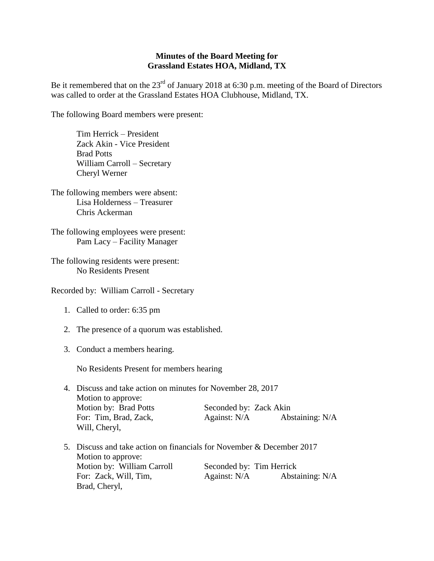## **Minutes of the Board Meeting for Grassland Estates HOA, Midland, TX**

Be it remembered that on the 23<sup>rd</sup> of January 2018 at 6:30 p.m. meeting of the Board of Directors was called to order at the Grassland Estates HOA Clubhouse, Midland, TX.

The following Board members were present:

Tim Herrick – President Zack Akin - Vice President Brad Potts William Carroll – Secretary Cheryl Werner

The following members were absent: Lisa Holderness – Treasurer Chris Ackerman

The following employees were present: Pam Lacy – Facility Manager

The following residents were present: No Residents Present

Recorded by: William Carroll - Secretary

- 1. Called to order: 6:35 pm
- 2. The presence of a quorum was established.
- 3. Conduct a members hearing.

No Residents Present for members hearing

- 4. Discuss and take action on minutes for November 28, 2017 Motion to approve: Motion by: Brad Potts Seconded by: Zack Akin For: Tim, Brad, Zack, Against: N/A Abstaining: N/A Will, Cheryl,
- 5. Discuss and take action on financials for November & December 2017 Motion to approve: Motion by: William Carroll Seconded by: Tim Herrick For: Zack, Will, Tim, Against: N/A Abstaining: N/A Brad, Cheryl,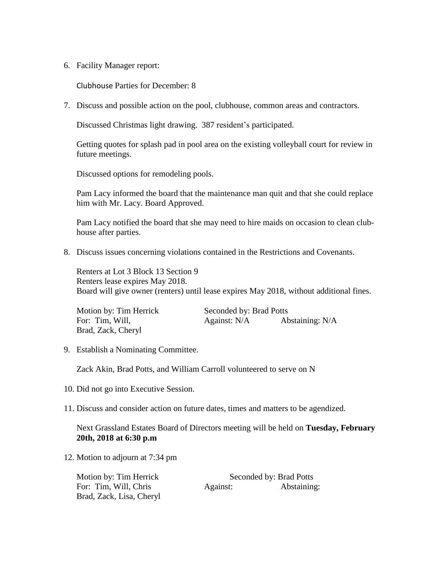6. Facility Manager report:

Clubhouse Parties for December: 8

7. Discuss and possible action on the pool, clubhouse, common areas and contractors.

Discussed Christmas light drawing. 387 resident's participated.

Getting quotes for splash pad in pool area on the existing volleyball court for review in future meetings.

Discussed options for remodeling pools.

Pam Lacy informed the board that the maintenance man quit and that she could replace him with Mr. Lacy. Board Approved.

Pam Lacy notified the board that she may need to hire maids on occasion to clean clubhouse after parties.

8. Discuss issues concerning violations contained in the Restrictions and Covenants.

Renters at Lot 3 Block 13 Section 9 Renters lease expires May 2018. Board will give owner (renters) until lease expires May 2018, without additional fines.

| Motion by: Tim Herrick | Seconded by: Brad Potts |                 |
|------------------------|-------------------------|-----------------|
| For: Tim, Will,        | Against: N/A            | Abstaining: N/A |
| Brad, Zack, Cheryl     |                         |                 |

9. Establish a Nominating Committee.

Zack Akin, Brad Potts, and William Carroll volunteered to serve on N

- 10. Did not go into Executive Session.
- 11. Discuss and consider action on future dates, times and matters to be agendized.

## Next Grassland Estates Board of Directors meeting will be held on **Tuesday, February 20th, 2018 at 6:30 p.m**

12. Motion to adjourn at 7:34 pm

| Motion by: Tim Herrick   | Seconded by: Brad Potts |             |
|--------------------------|-------------------------|-------------|
| For: Tim, Will, Chris    | Against:                | Abstaining: |
| Brad, Zack, Lisa, Cheryl |                         |             |